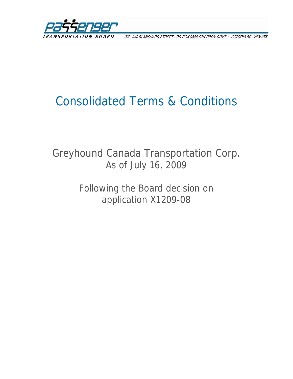

202-940 BLANSHARD STREET · PO BOX 9850 STN PROV GOVT · VICTORIA BC V8W 9T5

# Consolidated Terms & Conditions

## Greyhound Canada Transportation Corp. As of July 16, 2009

Following the Board decision on application X1209-08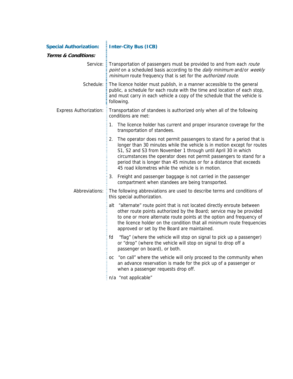| <b>Special Authorization:</b>  | Inter-City Bus (ICB)                                                                                                                                                                                                                                                                                                                                                                                                          |
|--------------------------------|-------------------------------------------------------------------------------------------------------------------------------------------------------------------------------------------------------------------------------------------------------------------------------------------------------------------------------------------------------------------------------------------------------------------------------|
| <b>Terms &amp; Conditions:</b> |                                                                                                                                                                                                                                                                                                                                                                                                                               |
|                                | Service: Transportation of passengers must be provided to and from each route<br>point on a scheduled basis according to the daily minimum and/or weekly<br>minimum route frequency that is set for the authorized route.                                                                                                                                                                                                     |
| Schedule:                      | $\frac{1}{2}$ The licence holder must publish, in a manner accessible to the general<br>public, a schedule for each route with the time and location of each stop,<br>and must carry in each vehicle a copy of the schedule that the vehicle is<br>following.                                                                                                                                                                 |
| Express Authorization: E       | Transportation of standees is authorized only when all of the following<br>conditions are met:                                                                                                                                                                                                                                                                                                                                |
|                                | The licence holder has current and proper insurance coverage for the<br>1.<br>transportation of standees.                                                                                                                                                                                                                                                                                                                     |
|                                | The operator does not permit passengers to stand for a period that is<br>2.<br>longer than 30 minutes while the vehicle is in motion except for routes<br>S1, S2 and S3 from November 1 through until April 30 in which<br>circumstances the operator does not permit passengers to stand for a<br>period that is longer than 45 minutes or for a distance that exceeds<br>45 road kilometres while the vehicle is in motion. |
|                                | 3. Freight and passenger baggage is not carried in the passenger<br>compartment when standees are being transported.                                                                                                                                                                                                                                                                                                          |
|                                | Abbreviations: E The following abbreviations are used to describe terms and conditions of<br>this special authorization.                                                                                                                                                                                                                                                                                                      |
|                                | alt "alternate" route point that is not located directly enroute between<br>other route points authorized by the Board; service may be provided<br>to one or more alternate route points at the option and frequency of<br>the licence holder on the condition that all minimum route frequencies<br>approved or set by the Board are maintained.                                                                             |
|                                | "flag" (where the vehicle will stop on signal to pick up a passenger)<br>fd<br>or "drop" (where the vehicle will stop on signal to drop off a<br>passenger on board), or both.                                                                                                                                                                                                                                                |
|                                | "on call" where the vehicle will only proceed to the community when<br>OC.<br>an advance reservation is made for the pick up of a passenger or<br>when a passenger requests drop off.                                                                                                                                                                                                                                         |
|                                | .                                                                                                                                                                                                                                                                                                                                                                                                                             |

 $\frac{1}{2}$  n/a "not applicable"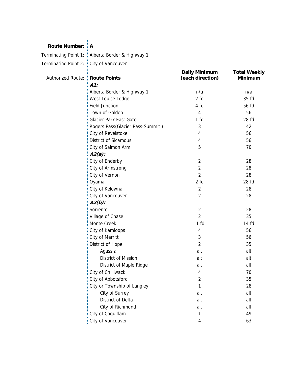#### **Route Number: A**

Terminating Point 1: Alberta Border & Highway 1

Terminating Point 2: City of Vancouver

| Authorized Route: : Route Points |                                  | <b>Daily Minimum</b><br>(each direction) | <b>Total Weekly</b><br><b>Minimum</b> |
|----------------------------------|----------------------------------|------------------------------------------|---------------------------------------|
|                                  | $A1$ :                           |                                          |                                       |
|                                  | Alberta Border & Highway 1       | n/a                                      | n/a                                   |
|                                  | West Louise Lodge                | 2 fd                                     | 35 fd                                 |
|                                  | <b>Field Junction</b>            | 4 fd                                     | 56 fd                                 |
|                                  | Town of Golden                   | $\overline{4}$                           | 56                                    |
|                                  | Glacier Park East Gate           | 1 fd                                     | 28 fd                                 |
|                                  | Rogers Pass(Glacier Pass-Summit) | 3                                        | 42                                    |
|                                  | City of Revelstoke               | 4                                        | 56                                    |
|                                  | <b>District of Sicamous</b>      | 4                                        | 56                                    |
|                                  | City of Salmon Arm               | 5                                        | 70                                    |
|                                  | $A2(a)$ :                        |                                          |                                       |
|                                  | City of Enderby                  | $\overline{2}$                           | 28                                    |
|                                  | City of Armstrong                | $\overline{2}$                           | 28                                    |
|                                  | City of Vernon                   | $\overline{2}$                           | 28                                    |
|                                  | Oyama                            | 2 fd                                     | 28 fd                                 |
|                                  | City of Kelowna                  | $\overline{2}$                           | 28                                    |
|                                  | City of Vancouver                | $\overline{2}$                           | 28                                    |
|                                  | $A2(b)$ :                        |                                          |                                       |
|                                  | Sorrento                         | $\overline{2}$                           | 28                                    |
|                                  | Village of Chase                 | $\overline{2}$                           | 35                                    |
|                                  | Monte Creek                      | 1 fd                                     | 14 fd                                 |
|                                  | City of Kamloops                 | 4                                        | 56                                    |
|                                  | City of Merritt                  | 3                                        | 56                                    |
|                                  | District of Hope                 | $\overline{2}$                           | 35                                    |
|                                  | Agassiz                          | alt                                      | alt                                   |
|                                  | District of Mission              | alt                                      | alt                                   |
|                                  | District of Maple Ridge          | alt                                      | alt                                   |
|                                  | City of Chilliwack               | 4                                        | 70                                    |
|                                  | City of Abbotsford               | $\overline{2}$                           | 35                                    |
|                                  | City or Township of Langley      | 1                                        | 28                                    |
|                                  | City of Surrey                   | alt                                      | alt                                   |
|                                  | District of Delta                | alt                                      | alt                                   |
|                                  | City of Richmond                 | alt                                      | alt                                   |
|                                  | City of Coquitlam                | 1                                        | 49                                    |
|                                  | City of Vancouver                | 4                                        | 63                                    |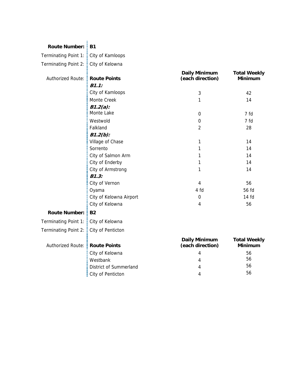| Route Number: B1 |  |
|------------------|--|

Terminating Point 1: : City of Kamloops

Terminating Point 2: Ecity of Kelowna

| Authorized Route: : Route Points       |                               | <b>Daily Minimum</b><br>(each direction) | <b>Total Weekly</b><br><b>Minimum</b> |
|----------------------------------------|-------------------------------|------------------------------------------|---------------------------------------|
|                                        | B1.1:                         |                                          |                                       |
|                                        | City of Kamloops              | 3                                        | 42                                    |
|                                        | Monte Creek                   | 1                                        | 14                                    |
|                                        | $B1.2(a)$ :                   |                                          |                                       |
|                                        | Monte Lake                    | 0                                        | 7 fd                                  |
|                                        | Westwold                      | 0                                        | 7 fd                                  |
|                                        | Falkland                      | $\overline{2}$                           | 28                                    |
|                                        | $B1.2(b)$ :                   |                                          |                                       |
|                                        | Village of Chase              | 1                                        | 14                                    |
|                                        | Sorrento                      | 1                                        | 14                                    |
|                                        | City of Salmon Arm            | 1                                        | 14                                    |
|                                        | City of Enderby               | 1                                        | 14                                    |
|                                        | City of Armstrong             | 1                                        | 14                                    |
|                                        | <b>B1.3:</b>                  |                                          |                                       |
|                                        | City of Vernon                | 4                                        | 56                                    |
|                                        | Oyama                         | 4 fd                                     | 56 fd                                 |
|                                        | City of Kelowna Airport       | 0                                        | 14 fd                                 |
|                                        | City of Kelowna               | 4                                        | 56                                    |
| <b>Route Number:</b>                   | <b>B2</b>                     |                                          |                                       |
| Terminating Point 1: : City of Kelowna |                               |                                          |                                       |
| Terminating Point 2: :                 | City of Penticton             |                                          |                                       |
|                                        |                               | <b>Daily Minimum</b>                     | <b>Total Weekly</b>                   |
| Authorized Route: :                    | <b>Route Points</b>           | (each direction)                         | <b>Minimum</b>                        |
|                                        | City of Kelowna               | 4                                        | 56                                    |
|                                        | Westbank                      | 4                                        | 56                                    |
|                                        | <b>District of Summerland</b> | 4                                        | 56                                    |
|                                        | City of Penticton             | 4                                        | 56                                    |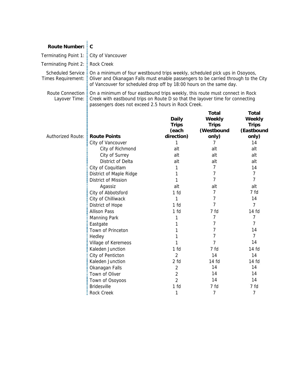| <b>Route Number:</b>              | $\mathsf{E} \mathbf{C}$                                                                                                                                                                                                                                      |                                                     |                                                               |                                                        |
|-----------------------------------|--------------------------------------------------------------------------------------------------------------------------------------------------------------------------------------------------------------------------------------------------------------|-----------------------------------------------------|---------------------------------------------------------------|--------------------------------------------------------|
| Terminating Point 1:              | City of Vancouver                                                                                                                                                                                                                                            |                                                     |                                                               |                                                        |
| Terminating Point 2:              | $\frac{1}{2}$ Rock Creek                                                                                                                                                                                                                                     |                                                     |                                                               |                                                        |
| Times Requirement:                | Scheduled Service : On a minimum of four westbound trips weekly, scheduled pick ups in Osoyoos,<br>Oliver and Okanagan Falls must enable passengers to be carried through to the City<br>of Vancouver for scheduled drop off by 18:00 hours on the same day. |                                                     |                                                               |                                                        |
| Route Connection<br>Layover Time: | On a minimum of four eastbound trips weekly, this route must connect in Rock<br>Creek with eastbound trips on Route D so that the layover time for connecting<br>passengers does not exceed 2.5 hours in Rock Creek.                                         |                                                     |                                                               |                                                        |
| <b>Authorized Route:</b>          | <b>Route Points</b>                                                                                                                                                                                                                                          | <b>Daily</b><br><b>Trips</b><br>(each<br>direction) | Total<br><b>Weekly</b><br><b>Trips</b><br>(Westbound<br>only) | Total<br>Weekly<br><b>Trips</b><br>(Eastbound<br>only) |
|                                   | City of Vancouver                                                                                                                                                                                                                                            | 1                                                   | 7                                                             | 14                                                     |
|                                   | City of Richmond                                                                                                                                                                                                                                             | alt                                                 | alt                                                           | alt                                                    |
|                                   | City of Surrey                                                                                                                                                                                                                                               | alt                                                 | alt                                                           | alt                                                    |
|                                   | District of Delta                                                                                                                                                                                                                                            | alt                                                 | alt                                                           | alt                                                    |
|                                   | City of Coquitlam                                                                                                                                                                                                                                            | 1                                                   | 7                                                             | 14                                                     |
|                                   | District of Maple Ridge                                                                                                                                                                                                                                      | 1                                                   | 7                                                             | 7                                                      |
|                                   | District of Mission                                                                                                                                                                                                                                          | 1                                                   | 7                                                             | 7                                                      |
|                                   | Agassiz                                                                                                                                                                                                                                                      | alt                                                 | alt                                                           | alt                                                    |
|                                   | City of Abbotsford                                                                                                                                                                                                                                           | 1 fd                                                | 7                                                             | 7 fd                                                   |
|                                   | City of Chilliwack                                                                                                                                                                                                                                           | 1                                                   | 7                                                             | 14                                                     |
|                                   | District of Hope                                                                                                                                                                                                                                             | 1 <sub>fd</sub>                                     | 7                                                             | $\overline{7}$                                         |
|                                   | <b>Allison Pass</b>                                                                                                                                                                                                                                          | 1 fd                                                | 7 fd                                                          | 14 fd                                                  |
|                                   | <b>Manning Park</b>                                                                                                                                                                                                                                          | 1                                                   | 7                                                             | 7                                                      |
|                                   | Eastgate                                                                                                                                                                                                                                                     | 1                                                   | 7                                                             | 7                                                      |
|                                   | Town of Princeton                                                                                                                                                                                                                                            | 1                                                   | 7                                                             | 14                                                     |
|                                   | Hedley                                                                                                                                                                                                                                                       |                                                     | 7                                                             | $\overline{7}$                                         |
|                                   | Village of Keremeos                                                                                                                                                                                                                                          |                                                     | 7                                                             | 14                                                     |
|                                   | Kaleden Junction                                                                                                                                                                                                                                             | 1 fd                                                | 7 fd                                                          | 14 fd                                                  |
|                                   | City of Penticton                                                                                                                                                                                                                                            | $\overline{c}$                                      | 14                                                            | 14                                                     |
|                                   | Kaleden Junction                                                                                                                                                                                                                                             | 2 fd                                                | 14 fd                                                         | 14 fd                                                  |
|                                   | Okanagan Falls                                                                                                                                                                                                                                               | $\sqrt{2}$                                          | 14                                                            | 14                                                     |
|                                   | Town of Oliver                                                                                                                                                                                                                                               | $\overline{2}$                                      | 14                                                            | 14                                                     |
|                                   | Town of Osoyoos                                                                                                                                                                                                                                              | $\overline{2}$                                      | 14                                                            | 14                                                     |
|                                   | Bridesville                                                                                                                                                                                                                                                  | 1 <sub>fd</sub>                                     | 7 fd                                                          | 7 fd                                                   |
|                                   | Rock Creek                                                                                                                                                                                                                                                   | 1                                                   | $\overline{7}$                                                | $\overline{7}$                                         |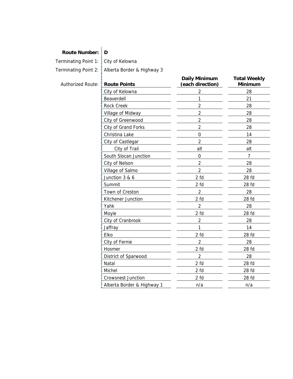#### **Route Number: D**

Terminating Point 1: City of Kelowna

Terminating Point 2: Alberta Border & Highway 3

| Authorized Route: | <b>Route Points</b>        | <b>Daily Minimum</b><br>(each direction) | <b>Total Weekly</b><br>Minimum |
|-------------------|----------------------------|------------------------------------------|--------------------------------|
|                   | City of Kelowna            | $\overline{2}$                           | 28                             |
|                   | Beaverdell                 | 1                                        | 21                             |
|                   | <b>Rock Creek</b>          | $\overline{2}$                           | 28                             |
|                   | Village of Midway          | $\overline{2}$                           | 28                             |
|                   | City of Greenwood          | $\overline{2}$                           | 28                             |
|                   | City of Grand Forks        | $\overline{2}$                           | 28                             |
|                   | Christina Lake             | $\mathbf 0$                              | 14                             |
|                   | City of Castlegar          | $\overline{2}$                           | 28                             |
|                   | City of Trail              | alt                                      | alt                            |
|                   | South Slocan Junction      | 0                                        | 7                              |
|                   | City of Nelson             | $\overline{2}$                           | 28                             |
|                   | Village of Salmo           | $\overline{2}$                           | 28                             |
|                   | Junction 3 & 6             | $2$ fd                                   | 28 fd                          |
|                   | Summit                     | 2 fd                                     | 28 fd                          |
|                   | Town of Creston            | $\overline{2}$                           | 28                             |
|                   | Kitchener Junction         | 2 fd                                     | 28 fd                          |
|                   | Yahk                       | $\overline{2}$                           | 28                             |
|                   | Moyie                      | 2 fd                                     | 28 fd                          |
|                   | City of Cranbrook          | $\overline{c}$                           | 28                             |
|                   | Jaffray                    | 1                                        | 14                             |
|                   | Elko                       | 2 fd                                     | 28 fd                          |
|                   | City of Fernie             | $\overline{2}$                           | 28                             |
|                   | Hosmer                     | 2 fd                                     | 28 fd                          |
|                   | District of Sparwood       | $\overline{2}$                           | 28                             |
|                   | Natal                      | 2 fd                                     | 28 fd                          |
|                   | Michel                     | 2 fd                                     | 28 fd                          |
|                   | <b>Crowsnest Junction</b>  | 2 fd                                     | 28 fd                          |
|                   | Alberta Border & Highway 1 | n/a                                      | n/a                            |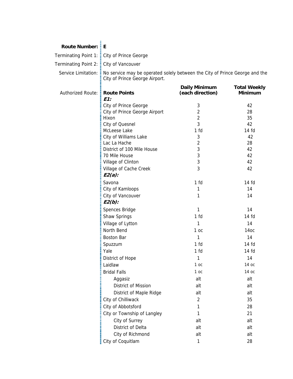#### **Route Number: E**

Terminating Point 1: City of Prince George

Terminating Point 2: City of Vancouver

Service Limitation:  $\frac{1}{2}$  No service may be operated solely between the City of Prince George and the City of Prince George Airport.

| E1:<br>3<br>City of Prince George<br>$\overline{2}$<br>City of Prince George Airport<br>$\overline{2}$<br>Hixon<br>3<br>City of Quesnel<br>McLeese Lake<br>1 <sub>fd</sub> | 42<br>28<br>35<br>42<br>14 fd<br>42<br>28<br>42 |
|----------------------------------------------------------------------------------------------------------------------------------------------------------------------------|-------------------------------------------------|
|                                                                                                                                                                            |                                                 |
|                                                                                                                                                                            |                                                 |
|                                                                                                                                                                            |                                                 |
|                                                                                                                                                                            |                                                 |
|                                                                                                                                                                            |                                                 |
| City of Williams Lake<br>3                                                                                                                                                 |                                                 |
| $\overline{c}$<br>Lac La Hache                                                                                                                                             |                                                 |
| 3<br>District of 100 Mile House                                                                                                                                            |                                                 |
| 3<br>70 Mile House                                                                                                                                                         | 42                                              |
| 3<br>Village of Clinton                                                                                                                                                    | 42                                              |
| 3<br>Village of Cache Creek<br>$E2(a)$ :                                                                                                                                   | 42                                              |
| 1 <sub>fd</sub><br>Savona                                                                                                                                                  | 14 fd                                           |
| City of Kamloops<br>1                                                                                                                                                      | 14                                              |
| City of Vancouver<br>1<br>$E2(b)$ :                                                                                                                                        | 14                                              |
| Spences Bridge<br>1                                                                                                                                                        | 14                                              |
| Shaw Springs<br>1 <sub>fd</sub>                                                                                                                                            | 14 fd                                           |
| Village of Lytton<br>1                                                                                                                                                     | 14                                              |
| North Bend<br>1 <sub>oc</sub>                                                                                                                                              | 14oc                                            |
| 1<br><b>Boston Bar</b>                                                                                                                                                     | 14                                              |
| 1 <sub>fd</sub><br>Spuzzum                                                                                                                                                 | 14 fd                                           |
| 1 <sub>fd</sub><br>Yale                                                                                                                                                    | 14 fd                                           |
| District of Hope<br>1                                                                                                                                                      | 14                                              |
| Laidlaw<br>1 <sub>oc</sub>                                                                                                                                                 | 14 ос                                           |
| <b>Bridal Falls</b><br>1 oc                                                                                                                                                | 14 ос                                           |
| alt<br>Aggasiz                                                                                                                                                             | alt                                             |
| District of Mission<br>alt                                                                                                                                                 | alt                                             |
| District of Maple Ridge<br>alt                                                                                                                                             | alt                                             |
| City of Chilliwack<br>$\overline{2}$                                                                                                                                       | 35                                              |
| City of Abbotsford<br>1                                                                                                                                                    | 28                                              |
| City or Township of Langley<br>1                                                                                                                                           | 21                                              |
| City of Surrey<br>alt                                                                                                                                                      | alt                                             |
| District of Delta<br>alt                                                                                                                                                   | alt                                             |
| City of Richmond<br>alt                                                                                                                                                    | alt                                             |
| City of Coquitlam<br>1                                                                                                                                                     | 28                                              |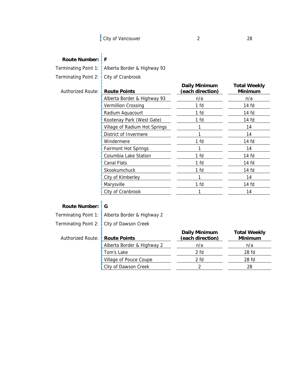## **Route Number: F**

|                          | Terminating Point 1: : Alberta Border & Highway 93 |                                          |                                       |
|--------------------------|----------------------------------------------------|------------------------------------------|---------------------------------------|
| Terminating Point 2:     | City of Cranbrook                                  |                                          |                                       |
| <b>Authorized Route:</b> | <b>Route Points</b>                                | <b>Daily Minimum</b><br>(each direction) | <b>Total Weekly</b><br><b>Minimum</b> |
|                          | Alberta Border & Highway 93                        | n/a                                      | n/a                                   |
|                          | <b>Vermillion Crossing</b>                         | 1 <sub>fd</sub>                          | 14 fd                                 |
|                          | Radium Aquacourt                                   | 1 fd                                     | 14 fd                                 |
|                          | Kootenay Park (West Gate)                          | 1 fd                                     | 14 fd                                 |
|                          | Village of Radium Hot Springs                      | 1                                        | 14                                    |
|                          | District of Invermere                              | 1                                        | 14                                    |
|                          | Windermere                                         | 1 fd                                     | 14 fd                                 |
|                          | <b>Fairmont Hot Springs</b>                        | 1                                        | 14                                    |
|                          | Columbia Lake Station                              | 1 <sub>fd</sub>                          | 14 fd                                 |
|                          | <b>Canal Flats</b>                                 | 1 <sub>fd</sub>                          | 14 fd                                 |
|                          | Skookumchuck                                       | 1 fd                                     | 14 fd                                 |
|                          | City of Kimberley                                  | 1                                        | 14                                    |
|                          | Marysville                                         | 1 fd                                     | 14 fd                                 |
|                          | City of Cranbrook                                  | 1                                        | 14                                    |
|                          |                                                    |                                          |                                       |
| <b>Route Number: : G</b> |                                                    |                                          |                                       |
|                          | Terminating Point 1: Alberta Border & Highway 2    |                                          |                                       |
| Terminating Point 2:     | City of Dawson Creek                               |                                          |                                       |
|                          |                                                    | <b>Daily Minimum</b>                     | <b>Total Weekly</b>                   |
| <b>Authorized Route:</b> | <b>Route Points</b>                                | (each direction)                         | <b>Minimum</b>                        |
|                          | Alberta Border & Highway 2                         | n/a                                      | n/a                                   |
|                          | Tom's Lake                                         | 2 fd                                     | 28 fd                                 |
|                          | Village of Pouce Coupe                             | 2 fd                                     | 28 fd                                 |
|                          | City of Dawson Creek                               | $\overline{2}$                           | 28                                    |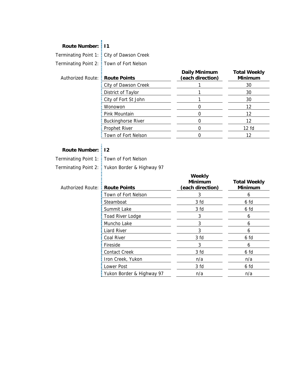#### **Route Number: I1**

Terminating Point 1: City of Dawson Creek

Terminating Point 2: Town of Fort Nelson

| Authorized Route: : Ro |  |
|------------------------|--|
|                        |  |
|                        |  |

| Authorized Route: : Route Points |                             | <b>Daily Minimum</b><br>(each direction) | <b>Total Weekly</b><br><b>Minimum</b> |
|----------------------------------|-----------------------------|------------------------------------------|---------------------------------------|
|                                  | : City of Dawson Creek      |                                          | 30                                    |
|                                  | : District of Taylor        |                                          | 30                                    |
|                                  | : City of Fort St John      |                                          | 30                                    |
|                                  | Wonowon                     |                                          | 12                                    |
|                                  | : Pink Mountain             |                                          | 12                                    |
|                                  | <b>E</b> Buckinghorse River |                                          | 12                                    |
|                                  | <b>Prophet River</b>        |                                          | 12 f <sub>d</sub>                     |
|                                  | : Town of Fort Nelson       |                                          | 12                                    |
|                                  |                             |                                          |                                       |

## **Route Number: I2**

Terminating Point 1: Town of Fort Nelson

Terminating Point 2: Yukon Border & Highway 97

| <b>Authorized Route:</b> | <b>Route Points</b>       | Weekly<br><b>Minimum</b><br>(each direction) | <b>Total Weekly</b><br><b>Minimum</b> |
|--------------------------|---------------------------|----------------------------------------------|---------------------------------------|
|                          | Town of Fort Nelson       | 3                                            | 6                                     |
|                          | Steamboat                 | 3 fd                                         | 6 fd                                  |
|                          | Summit Lake               | 3 fd                                         | 6 fd                                  |
|                          | Toad River Lodge          | 3                                            | 6                                     |
|                          | Muncho Lake               | 3                                            | 6                                     |
|                          | <b>Liard River</b>        | 3                                            | 6                                     |
|                          | Coal River                | 3 fd                                         | 6 fd                                  |
|                          | Fireside                  | 3                                            | 6                                     |
|                          | <b>Contact Creek</b>      | 3 fd                                         | 6 fd                                  |
|                          | Iron Creek, Yukon         | n/a                                          | n/a                                   |
|                          | Lower Post                | 3 fd                                         | 6 fd                                  |
|                          | Yukon Border & Highway 97 | n/a                                          | n/a                                   |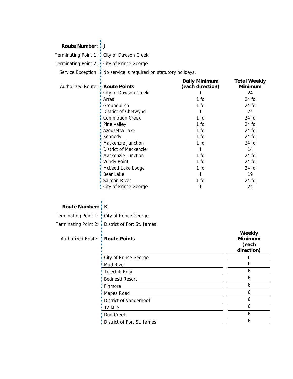#### **Route Number: J**

Terminating Point 1: City of Dawson Creek

Terminating Point 2: City of Prince George

Service Exception:  $\frac{1}{2}$  No service is required on statutory holidays.

|                     |                         | <b>Daily Minimum</b> | <b>Total Weekly</b> |
|---------------------|-------------------------|----------------------|---------------------|
| Authorized Route: : | <b>Route Points</b>     | (each direction)     | <b>Minimum</b>      |
|                     | City of Dawson Creek    |                      | 24                  |
|                     | Arras                   | 1 fd                 | 24 fd               |
|                     | Groundbirch             | 1 fd                 | 24 fd               |
|                     | District of Chetwynd    |                      | 24                  |
|                     | <b>Commotion Creek</b>  | 1 fd                 | 24 fd               |
|                     | Pine Valley             | 1 fd                 | 24 fd               |
|                     | Azouzetta Lake          | 1 fd                 | 24 fd               |
|                     | Kennedy                 | 1 fd                 | 24 fd               |
|                     | Mackenzie Junction      | 1 fd                 | 24 fd               |
|                     | District of Mackenzie   |                      | 14                  |
|                     | Mackenzie Junction      | $1-fd$               | 24 fd               |
|                     | <b>Windy Point</b>      | $1-fd$               | 24 fd               |
|                     | McLeod Lake Lodge       | 1 fd                 | 24 fd               |
|                     | Bear Lake               |                      | 19                  |
|                     | Salmon River            | $1-fd$               | 24 fd               |
|                     | : City of Prince George |                      | 24                  |
|                     |                         |                      |                     |

| <b>Route Number: EK</b>          |                                                   |                                                 |
|----------------------------------|---------------------------------------------------|-------------------------------------------------|
|                                  | Terminating Point 1: : City of Prince George      |                                                 |
|                                  | Terminating Point 2: : District of Fort St. James |                                                 |
| Authorized Route: : Route Points |                                                   | Weekly<br><b>Minimum</b><br>(each<br>direction) |
|                                  | City of Prince George                             | 6                                               |
|                                  | Mud River                                         | 6                                               |
|                                  | Telechik Road                                     | 6                                               |
|                                  | <b>Bednesti Resort</b>                            | 6                                               |
|                                  | Finmore                                           | 6                                               |
|                                  | Mapes Road                                        | 6                                               |
|                                  | District of Vanderhoof                            | 6                                               |
|                                  | 12 Mile                                           | 6                                               |
|                                  | Dog Creek                                         | 6                                               |
|                                  | District of Fort St. James                        | 6                                               |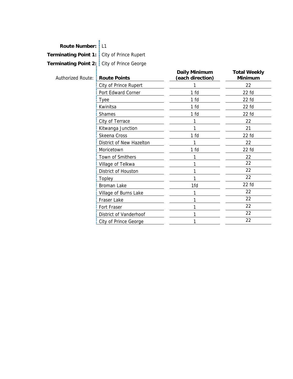| Route Number: : L1                           |                                              |                                          |                                |
|----------------------------------------------|----------------------------------------------|------------------------------------------|--------------------------------|
| Terminating Point 1: : City of Prince Rupert |                                              |                                          |                                |
|                                              |                                              |                                          |                                |
|                                              | Terminating Point 2: : City of Prince George |                                          |                                |
| Authorized Route: : Route Points             |                                              | <b>Daily Minimum</b><br>(each direction) | <b>Total Weekly</b><br>Minimum |
|                                              | City of Prince Rupert                        | 1                                        | 22                             |
|                                              | Port Edward Corner                           | 1 <sub>fd</sub>                          | $22$ fd                        |
|                                              | Tyee                                         | 1 fd                                     | $22$ fd                        |
|                                              | Kwinitsa                                     | 1 fd                                     | $22$ fd                        |
|                                              | Shames                                       | 1 fd                                     | $22$ fd                        |
|                                              | City of Terrace                              | 1                                        | 22                             |
|                                              | Kitwanga Junction                            | 1                                        | 21                             |
|                                              | Skeena Cross                                 | 1 <sub>fd</sub>                          | $22$ fd                        |
|                                              | District of New Hazelton                     | 1                                        | 22                             |
|                                              | Moricetown                                   | 1 <sub>fd</sub>                          | $22$ fd                        |
|                                              | Town of Smithers                             | 1                                        | 22                             |
|                                              | Village of Telkwa                            | 1                                        | 22                             |
|                                              | District of Houston                          | 1                                        | 22                             |
|                                              | Topley                                       | 1                                        | 22                             |
|                                              | <b>Broman Lake</b>                           | 1fd                                      | $22$ fd                        |
|                                              | Village of Burns Lake                        | 1                                        | 22                             |
|                                              | Fraser Lake                                  |                                          | 22                             |
|                                              | Fort Fraser                                  | 1                                        | 22                             |
|                                              | District of Vanderhoof                       |                                          | 22                             |
|                                              | City of Prince George                        | 1                                        | 22                             |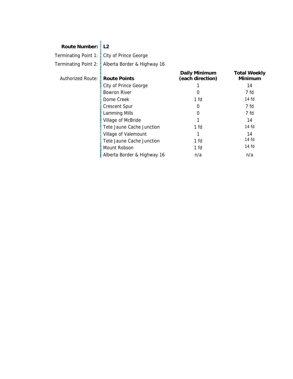#### **Route Number: L2**

Terminating Point 1: : City of Prince George Terminating Point 2: Alberta Border & Highway 16

Authorized Route: **Route Points Daily Minimum (each direction) Total Weekly Minimum**  City of Prince George 1 14 Bowron River **by a contract of the CO** and the CO and the CO and the CO and the CO and the CO and the CO and the CO and the CO and the CO and the CO and the CO and the CO and the CO and the CO and the CO and the CO and the Dome Creek 1 fd 14 fd Crescent Spur 0 7 fd Lamming Mills **1988 1988 1988 1988 1988 1988 1988 1988 1988 1988 1988 1988 1988 1988 1988 1988 1988 1988 1988 1988 1988 1988 1988 1988 1988 1988 1988 1988 1988 1988** Village of McBride 2012 12 14 Tete Jaune Cache Junction 1 fd 14 fd Village of Valemount 1 14 Tete Jaune Cache Junction 1 fd 14 fd<br>Mount Pobson 1 fd 14 fd 14 fd 14 fd 14 fd 14 fd 14 fd 15 fd 15 fd 15 fd 15 fd 15 fd 15 fd 15 fd 15 fd 15 fd 15 Mount Robson 1 fd **Alberta Border & Highway 16** n/a n/a n/a n/a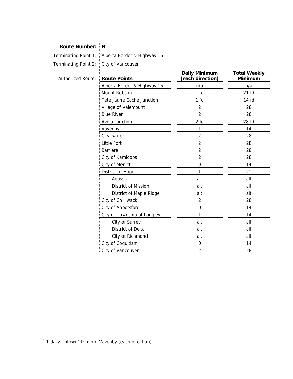#### **Route Number: N**

Terminating Point 1: Alberta Border & Highway 16 Terminating Point 2: City of Vancouver

| <b>Authorized Route:</b> | <b>Route Points</b>         | <b>Daily Minimum</b><br>(each direction) | <b>Total Weekly</b><br><b>Minimum</b> |
|--------------------------|-----------------------------|------------------------------------------|---------------------------------------|
|                          | Alberta Border & Highway 16 | n/a                                      | n/a                                   |
|                          | Mount Robson                | 1 fd                                     | $21$ fd                               |
|                          | Tete Jaune Cache Junction   | 1 fd                                     | 14 fd                                 |
|                          | Village of Valemount        | $\overline{2}$                           | 28                                    |
|                          | <b>Blue River</b>           | $\overline{2}$                           | 28                                    |
|                          | Avola Junction              | 2 fd                                     | 28 fd                                 |
|                          | Vavenby <sup>1</sup>        | 1                                        | 14                                    |
|                          | Clearwater                  | $\overline{2}$                           | 28                                    |
|                          | <b>Little Fort</b>          | 2                                        | 28                                    |
|                          | <b>Barriere</b>             | 2                                        | 28                                    |
|                          | City of Kamloops            | 2                                        | 28                                    |
|                          | City of Merritt             | 0                                        | 14                                    |
|                          | District of Hope            | 1                                        | 21                                    |
|                          | Agassiz                     | alt                                      | alt                                   |
|                          | District of Mission         | alt                                      | alt                                   |
|                          | District of Maple Ridge     | alt                                      | alt                                   |
|                          | City of Chilliwack          | $\overline{2}$                           | 28                                    |
|                          | City of Abbotsford          | $\mathbf 0$                              | 14                                    |
|                          | City or Township of Langley | 1                                        | 14                                    |
|                          | City of Surrey              | alt                                      | alt                                   |
|                          | District of Delta           | alt                                      | alt                                   |
|                          | City of Richmond            | alt                                      | alt                                   |
|                          | City of Coquitlam           | $\mathbf 0$                              | 14                                    |
|                          | City of Vancouver           | $\overline{2}$                           | 28                                    |

<sup>1&</sup>lt;br><sup>1</sup> 1 daily "intown" trip into Vavenby (each direction)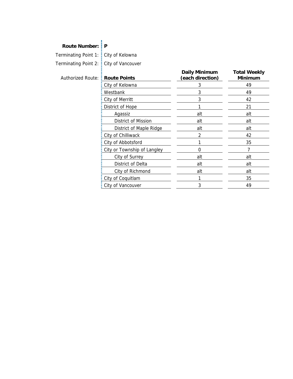### **Route Number: P**

Terminating Point 1: City of Kelowna

Terminating Point 2: City of Vancouver

| <b>Authorized Route:</b> | <b>E</b> Route Points       | <b>Daily Minimum</b><br>(each direction) | <b>Total Weekly</b><br><b>Minimum</b> |
|--------------------------|-----------------------------|------------------------------------------|---------------------------------------|
|                          | City of Kelowna             | 3                                        | 49                                    |
|                          | Westbank                    | 3                                        | 49                                    |
|                          | City of Merritt             | 3                                        | 42                                    |
|                          | District of Hope            |                                          | 21                                    |
|                          | Agassiz                     | alt                                      | alt                                   |
|                          | District of Mission         | alt                                      | alt                                   |
|                          | District of Maple Ridge     | alt                                      | alt                                   |
|                          | City of Chilliwack          | 2                                        | 42                                    |
|                          | City of Abbotsford          |                                          | 35                                    |
|                          | City or Township of Langley | O                                        | 7                                     |
|                          | City of Surrey              | alt                                      | alt                                   |
|                          | District of Delta           | alt                                      | alt                                   |
|                          | City of Richmond            | alt                                      | alt                                   |
|                          | City of Coquitlam           |                                          | 35                                    |
|                          | City of Vancouver           | 3                                        | 49                                    |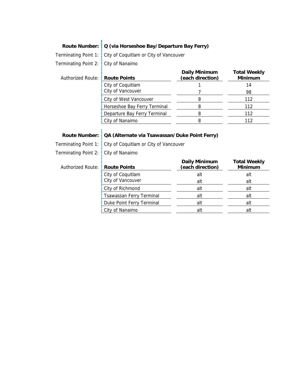#### Route Number: Q (via Horseshoe Bay/Departure Bay Ferry)

Terminating Point 1: City of Coquitlam or City of Vancouver

Terminating Point 2: City of Nanaimo

| Authorized Route: : Route Points |                                | <b>Daily Minimum</b><br>(each direction) | <b>Total Weekly</b><br><b>Minimum</b> |
|----------------------------------|--------------------------------|------------------------------------------|---------------------------------------|
|                                  | : City of Coquitlam            |                                          | 14                                    |
|                                  | : City of Vancouver            |                                          | 98                                    |
|                                  | : City of West Vancouver       |                                          | 112                                   |
|                                  | : Horseshoe Bay Ferry Terminal |                                          | 112                                   |
|                                  | : Departure Bay Ferry Terminal |                                          | 112                                   |
|                                  | : City of Nanaimo              |                                          | 112                                   |

### **Route Number: QA (Alternate via Tsawassan/Duke Point Ferry)**

Terminating Point 1: City of Coquitlam or City of Vancouver

Terminating Point 2: City of Nanaimo

| Authorized Route: : Route Points |                                 | <b>Daily Minimum</b><br>(each direction) | <b>Total Weekly</b><br><b>Minimum</b> |
|----------------------------------|---------------------------------|------------------------------------------|---------------------------------------|
|                                  | $\frac{1}{2}$ City of Coquitlam | alt                                      | alt                                   |
|                                  | City of Vancouver               | alt                                      | alt                                   |
|                                  | : City of Richmond              | alt                                      | alt                                   |
|                                  | : Tsawassan Ferry Terminal      | alt                                      | alt                                   |
|                                  | : Duke Point Ferry Terminal     | alt                                      | alt                                   |
|                                  | : City of Nanaimo               | alt                                      | alt                                   |
|                                  |                                 |                                          |                                       |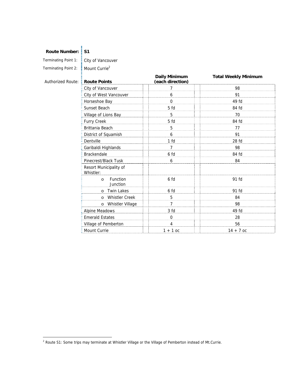#### Route Number: **S1**

Terminating Point 1: City of Vancouver

Terminating Point 2: Mount Currie<sup>2</sup>

| <b>Authorized Route:</b> | <b>Route Points</b>                 | <b>Daily Minimum</b><br>(each direction) | <b>Total Weekly Minimum</b> |
|--------------------------|-------------------------------------|------------------------------------------|-----------------------------|
|                          | City of Vancouver                   | 7                                        | 98                          |
|                          | City of West Vancouver              | 6                                        | 91                          |
|                          | Horseshoe Bay                       | 0                                        | 49 fd                       |
|                          | Sunset Beach                        | 5 fd                                     | 84 fd                       |
|                          | Village of Lions Bay                | 5                                        | 70                          |
|                          | Furry Creek                         | 5 fd                                     | 84 fd                       |
|                          | Brittania Beach                     | 5                                        | 77                          |
|                          | District of Squamish                | 6                                        | 91                          |
|                          | Dentville                           | 1 <sub>fd</sub>                          | 28 fd                       |
|                          | Garibaldi Highlands                 | $\overline{7}$                           | 98                          |
|                          | <b>Brackendale</b>                  | 6 fd                                     | 84 fd                       |
|                          | Pinecrest/Black Tusk                | 6                                        | 84                          |
|                          | Resort Municipality of<br>Whistler: |                                          |                             |
|                          | Function<br>$\circ$<br>Junction     | 6 fd                                     | 91 fd                       |
|                          | <b>Twin Lakes</b><br>$\circ$        | 6 fd                                     | 91 fd                       |
|                          | <b>Whistler Creek</b><br>$\circ$    | 5                                        | 84                          |
|                          | o Whistler Village                  | $\overline{7}$                           | 98                          |
|                          | <b>Alpine Meadows</b>               | 3 <sub>fd</sub>                          | 49 fd                       |
|                          | <b>Emerald Estates</b>              | $\mathbf 0$                              | 28                          |
|                          | Village of Pemberton                | 4                                        | 56                          |
|                          | Mount Currie                        | $1 + 1$ oc                               | $14 + 7$ oc                 |

 2 Route S1: Some trips may terminate at Whistler Village or the Village of Pemberton instead of Mt.Currie.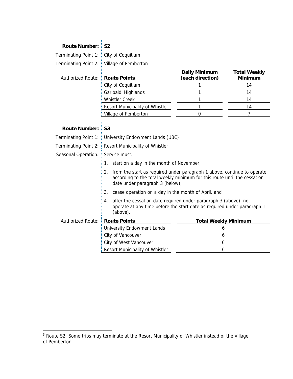#### Route Number: S2

Terminating Point 1: City of Coquitlam

Terminating Point 2:  $\frac{1}{2}$  Village of Pemberton<sup>3</sup>

| Authorized Route: : Route Points |                                          | <b>Daily Minimum</b><br>(each direction) | <b>Total Weekly</b><br><b>Minimum</b> |
|----------------------------------|------------------------------------------|------------------------------------------|---------------------------------------|
|                                  | : City of Coquitlam                      |                                          |                                       |
|                                  | : Garibaldi Highlands                    |                                          |                                       |
|                                  | <b>E</b> Whistler Creek                  |                                          | 14                                    |
|                                  | <b>E</b> Resort Municipality of Whistler |                                          |                                       |
|                                  | : Village of Pemberton                   |                                          |                                       |

## Route Number: S3

|                                     | Terminating Point 1: : University Endowment Lands (UBC)                                                                                                                                      |                             |  |  |
|-------------------------------------|----------------------------------------------------------------------------------------------------------------------------------------------------------------------------------------------|-----------------------------|--|--|
|                                     | Terminating Point 2: E Resort Municipality of Whistler                                                                                                                                       |                             |  |  |
| Seasonal Operation: E Service must: |                                                                                                                                                                                              |                             |  |  |
|                                     | start on a day in the month of November,<br>1.                                                                                                                                               |                             |  |  |
|                                     | from the start as required under paragraph 1 above, continue to operate<br>2.<br>according to the total weekly minimum for this route until the cessation<br>date under paragraph 3 (below), |                             |  |  |
|                                     | 3.<br>cease operation on a day in the month of April, and                                                                                                                                    |                             |  |  |
|                                     | after the cessation date required under paragraph 3 (above), not<br>4.<br>operate at any time before the start date as required under paragraph 1<br>(above).                                |                             |  |  |
| Authorized Route: : Route Points    |                                                                                                                                                                                              | <b>Total Weekly Minimum</b> |  |  |
|                                     | University Endowment Lands                                                                                                                                                                   | 6                           |  |  |
|                                     | City of Vancouver<br>6                                                                                                                                                                       |                             |  |  |
|                                     | City of West Vancouver                                                                                                                                                                       | 6                           |  |  |
|                                     | Resort Municipality of Whistler<br>6                                                                                                                                                         |                             |  |  |

**EXEL TE SECT TE SET TE SET TE SET A TE SET A TE SET A TE SET A TE SET A TE SET A TE SET A TE SET A TE SET A TE**<br><sup>3</sup> Route S2: Some trips may terminate at the Resort Municipality of Whistler instead of the Village of Pemberton.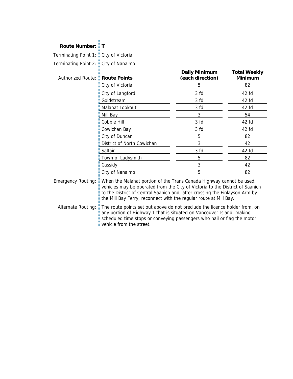| <b>Route Number:</b>                            | ΞT                                                                                                                                                                                                                                                                                                                                                                                                                                                                                                                                                                      |                                          |                                       |
|-------------------------------------------------|-------------------------------------------------------------------------------------------------------------------------------------------------------------------------------------------------------------------------------------------------------------------------------------------------------------------------------------------------------------------------------------------------------------------------------------------------------------------------------------------------------------------------------------------------------------------------|------------------------------------------|---------------------------------------|
| Terminating Point 1:                            | : City of Victoria                                                                                                                                                                                                                                                                                                                                                                                                                                                                                                                                                      |                                          |                                       |
| Terminating Point 2:                            | City of Nanaimo                                                                                                                                                                                                                                                                                                                                                                                                                                                                                                                                                         |                                          |                                       |
| Authorized Route: :                             | <b>Route Points</b>                                                                                                                                                                                                                                                                                                                                                                                                                                                                                                                                                     | <b>Daily Minimum</b><br>(each direction) | <b>Total Weekly</b><br><b>Minimum</b> |
|                                                 | City of Victoria                                                                                                                                                                                                                                                                                                                                                                                                                                                                                                                                                        | 5                                        | 82                                    |
|                                                 | City of Langford                                                                                                                                                                                                                                                                                                                                                                                                                                                                                                                                                        | 3 fd                                     | 42 fd                                 |
|                                                 | Goldstream                                                                                                                                                                                                                                                                                                                                                                                                                                                                                                                                                              | 3 <sub>fd</sub>                          | 42 fd                                 |
|                                                 | Malahat Lookout                                                                                                                                                                                                                                                                                                                                                                                                                                                                                                                                                         | 3 fd                                     | 42 fd                                 |
|                                                 | Mill Bay                                                                                                                                                                                                                                                                                                                                                                                                                                                                                                                                                                | 3                                        | 54                                    |
|                                                 | Cobble Hill                                                                                                                                                                                                                                                                                                                                                                                                                                                                                                                                                             | 3 fd                                     | 42 fd                                 |
|                                                 | Cowichan Bay                                                                                                                                                                                                                                                                                                                                                                                                                                                                                                                                                            | 3 fd                                     | 42 fd                                 |
|                                                 | City of Duncan                                                                                                                                                                                                                                                                                                                                                                                                                                                                                                                                                          | 5                                        | 82                                    |
|                                                 | District of North Cowichan                                                                                                                                                                                                                                                                                                                                                                                                                                                                                                                                              | 3                                        | 42                                    |
|                                                 | Saltair                                                                                                                                                                                                                                                                                                                                                                                                                                                                                                                                                                 | 3 fd                                     | 42 fd                                 |
|                                                 | Town of Ladysmith                                                                                                                                                                                                                                                                                                                                                                                                                                                                                                                                                       | 5                                        | 82                                    |
|                                                 | Cassidy                                                                                                                                                                                                                                                                                                                                                                                                                                                                                                                                                                 | 3                                        | 42                                    |
|                                                 | City of Nanaimo                                                                                                                                                                                                                                                                                                                                                                                                                                                                                                                                                         | 5                                        | 82                                    |
| <b>Emergency Routing:</b><br>Alternate Routing: | When the Malahat portion of the Trans Canada Highway cannot be used,<br>vehicles may be operated from the City of Victoria to the District of Saanich<br>to the District of Central Saanich and, after crossing the Finlayson Arm by<br>the Mill Bay Ferry, reconnect with the regular route at Mill Bay.<br>The route points set out above do not preclude the licence holder from, on<br>any portion of Highway 1 that is situated on Vancouver Island, making<br>scheduled time stops or conveying passengers who hail or flag the motor<br>vehicle from the street. |                                          |                                       |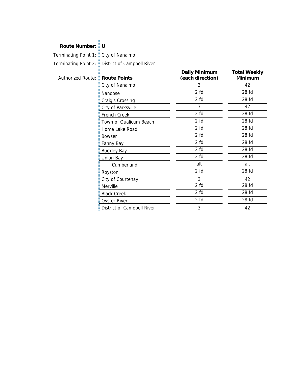### **Route Number: U**

Terminating Point 1: City of Nanaimo

Terminating Point 2: District of Campbell River

| Authorized Route: : Route Points |  |  |
|----------------------------------|--|--|
|                                  |  |  |
|                                  |  |  |

| <b>Authorized Route:</b> | <b>Route Points</b>        | <b>Daily Minimum</b><br>(each direction) | <b>Total Weekly</b><br><b>Minimum</b> |
|--------------------------|----------------------------|------------------------------------------|---------------------------------------|
|                          | City of Nanaimo            | 3                                        | 42                                    |
|                          | Nanoose                    | 2 fd                                     | 28 fd                                 |
|                          | Craig's Crossing           | 2 fd                                     | 28 fd                                 |
|                          | City of Parksville         | 3                                        | 42                                    |
|                          | French Creek               | 2 fd                                     | 28 fd                                 |
|                          | Town of Qualicum Beach     | 2 fd                                     | 28 fd                                 |
|                          | Home Lake Road             | 2 fd                                     | 28 fd                                 |
|                          | <b>Bowser</b>              | 2 fd                                     | 28 fd                                 |
|                          | Fanny Bay                  | 2 fd                                     | 28 fd                                 |
|                          | <b>Buckley Bay</b>         | 2 fd                                     | 28 fd                                 |
|                          | Union Bay                  | 2 fd                                     | 28 fd                                 |
|                          | Cumberland                 | alt                                      | alt                                   |
|                          | Royston                    | 2 fd                                     | 28 fd                                 |
|                          | City of Courtenay          | 3                                        | 42                                    |
|                          | Merville                   | 2 fd                                     | 28 fd                                 |
|                          | <b>Black Creek</b>         | 2 fd                                     | 28 fd                                 |
|                          | <b>Oyster River</b>        | 2 fd                                     | 28 fd                                 |
|                          | District of Campbell River | 3                                        | 42                                    |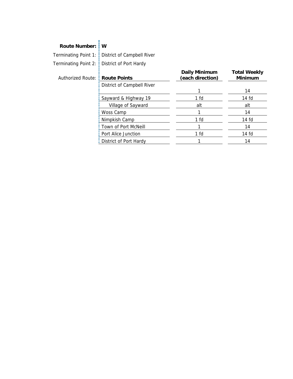### **Route Number: W**

Terminating Point 1: District of Campbell River Terminating Point 2: District of Port Hardy

| Authorized Route: : Route Points |                              | <b>Daily Minimum</b><br>(each direction) | <b>Total Weekly</b><br><b>Minimum</b> |
|----------------------------------|------------------------------|------------------------------------------|---------------------------------------|
|                                  | : District of Campbell River |                                          |                                       |
|                                  |                              |                                          | 14                                    |
|                                  | Sayward & Highway 19         | 1 fd                                     | $14f$ d                               |
|                                  | Village of Sayward           | alt                                      | alt                                   |
|                                  | : Woss Camp                  |                                          | 14                                    |
|                                  | : Nimpkish Camp              | 1 fd                                     | 14 fd                                 |
|                                  | : Town of Port McNeill       |                                          | 14                                    |
|                                  | <b>E</b> Port Alice Junction | 1 fd                                     | 14 fd                                 |
|                                  | : District of Port Hardy     |                                          | 14                                    |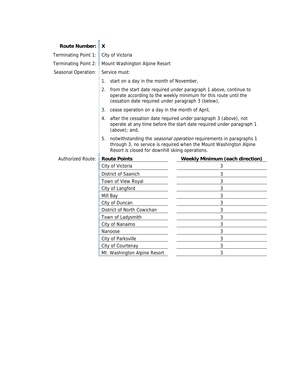#### **Route Number: X**

Terminating Point 1:  $\frac{1}{2}$  City of Victoria

Terminating Point 2: : Mount Washington Alpine Resort

Seasonal Operation: E Service must:

Ē

Ē

E

- $\frac{1}{2}$  1. start on a day in the month of November,
	- 2. from the start date required under paragraph 1 above, continue to operate according to the weekly minimum for this route until the cessation date required under paragraph 3 (below),
	- 3. cease operation on a day in the month of April,
- $\frac{1}{2}$  4. after the cessation date required under paragraph 3 (above), not operate at any time before the start date required under paragraph 1 (above); and,
- 5. notwithstanding the *seasonal operation* requirements in paragraphs 1 through 3, no service is required when the Mount Washington Alpine Resort is closed for downhill skiing operations.

| Authorized Route: <b>Route Points</b> |                                | <b>Weekly Minimum (each direction)</b> |
|---------------------------------------|--------------------------------|----------------------------------------|
|                                       | City of Victoria               |                                        |
|                                       | District of Saanich            |                                        |
|                                       | Town of View Royal             |                                        |
|                                       | : City of Langford             |                                        |
|                                       | Mill Bay                       |                                        |
|                                       | : City of Duncan               |                                        |
|                                       | District of North Cowichan     |                                        |
|                                       | Town of Ladysmith              | 3                                      |
|                                       | : City of Nanaimo              |                                        |
|                                       | Nanoose                        |                                        |
|                                       | : City of Parksville           |                                        |
|                                       | City of Courtenay              |                                        |
|                                       | : Mt. Washington Alpine Resort |                                        |